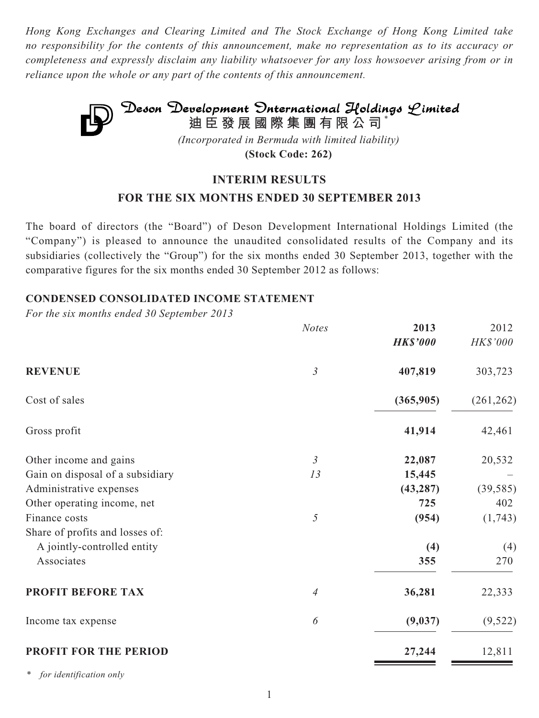*Hong Kong Exchanges and Clearing Limited and The Stock Exchange of Hong Kong Limited take no responsibility for the contents of this announcement, make no representation as to its accuracy or completeness and expressly disclaim any liability whatsoever for any loss howsoever arising from or in reliance upon the whole or any part of the contents of this announcement.*



**(Stock Code: 262)**

# **INTERIM RESULTS**

# **FOR THE SIX MONTHS ENDED 30 SEPTEMBER 2013**

The board of directors (the "Board") of Deson Development International Holdings Limited (the "Company") is pleased to announce the unaudited consolidated results of the Company and its subsidiaries (collectively the "Group") for the six months ended 30 September 2013, together with the comparative figures for the six months ended 30 September 2012 as follows:

# **CONDENSED CONSOLIDATED INCOME STATEMENT**

*For the six months ended 30 September 2013*

|                                  | <b>Notes</b>   | 2013            | 2012       |
|----------------------------------|----------------|-----------------|------------|
|                                  |                | <b>HK\$'000</b> | HK\$'000   |
| <b>REVENUE</b>                   | $\mathfrak{Z}$ | 407,819         | 303,723    |
| Cost of sales                    |                | (365,905)       | (261, 262) |
| Gross profit                     |                | 41,914          | 42,461     |
| Other income and gains           | $\mathfrak{Z}$ | 22,087          | 20,532     |
| Gain on disposal of a subsidiary | 13             | 15,445          |            |
| Administrative expenses          |                | (43, 287)       | (39, 585)  |
| Other operating income, net      |                | 725             | 402        |
| Finance costs                    | 5              | (954)           | (1,743)    |
| Share of profits and losses of:  |                |                 |            |
| A jointly-controlled entity      |                | (4)             | (4)        |
| Associates                       |                | 355             | 270        |
| PROFIT BEFORE TAX                | 4              | 36,281          | 22,333     |
| Income tax expense               | 6              | (9,037)         | (9,522)    |
| PROFIT FOR THE PERIOD            |                | 27,244          | 12,811     |

*\* for identification only*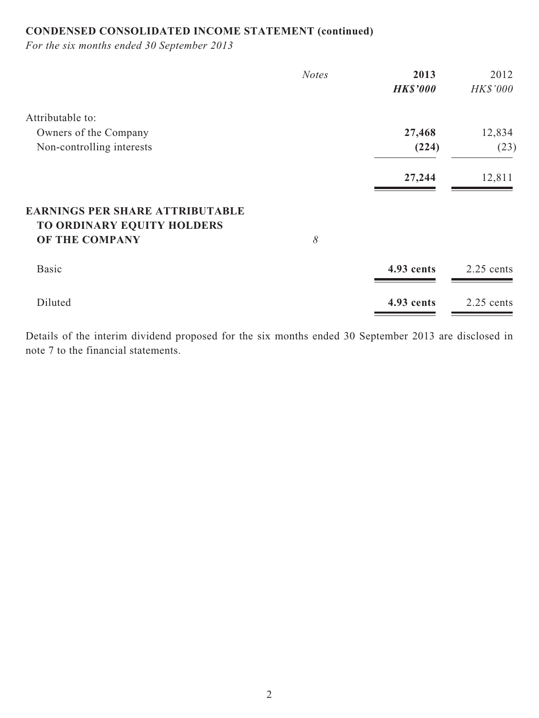# **CONDENSED CONSOLIDATED INCOME STATEMENT (continued)**

*For the six months ended 30 September 2013*

|                                                                                        | <b>Notes</b> | 2013            | 2012         |
|----------------------------------------------------------------------------------------|--------------|-----------------|--------------|
|                                                                                        |              | <b>HK\$'000</b> | HK\$'000     |
| Attributable to:                                                                       |              |                 |              |
| Owners of the Company                                                                  |              | 27,468          | 12,834       |
| Non-controlling interests                                                              |              | (224)           | (23)         |
|                                                                                        |              | 27,244          | 12,811       |
| <b>EARNINGS PER SHARE ATTRIBUTABLE</b><br>TO ORDINARY EQUITY HOLDERS<br>OF THE COMPANY | 8            |                 |              |
| <b>Basic</b>                                                                           |              | 4.93 cents      | $2.25$ cents |
| Diluted                                                                                |              | 4.93 cents      | $2.25$ cents |

Details of the interim dividend proposed for the six months ended 30 September 2013 are disclosed in note 7 to the financial statements.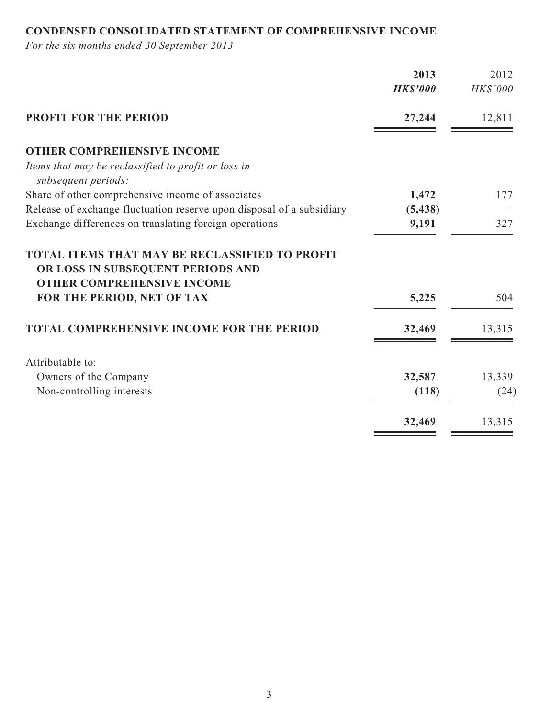# **CONDENSED CONSOLIDATED STATEMENT OF COMPREHENSIVE INCOME**

*For the six months ended 30 September 2013*

|                                                                                                                                 | 2013<br><b>HK\$'000</b> | 2012<br>HK\$'000 |
|---------------------------------------------------------------------------------------------------------------------------------|-------------------------|------------------|
| <b>PROFIT FOR THE PERIOD</b>                                                                                                    | 27,244                  | 12,811           |
| <b>OTHER COMPREHENSIVE INCOME</b>                                                                                               |                         |                  |
| Items that may be reclassified to profit or loss in<br>subsequent periods:                                                      |                         |                  |
| Share of other comprehensive income of associates                                                                               | 1,472                   | 177              |
| Release of exchange fluctuation reserve upon disposal of a subsidiary                                                           | (5, 438)                |                  |
| Exchange differences on translating foreign operations                                                                          | 9,191                   | 327              |
| <b>TOTAL ITEMS THAT MAY BE RECLASSIFIED TO PROFIT</b><br>OR LOSS IN SUBSEQUENT PERIODS AND<br><b>OTHER COMPREHENSIVE INCOME</b> |                         |                  |
| FOR THE PERIOD, NET OF TAX                                                                                                      | 5,225                   | 504              |
| <b>TOTAL COMPREHENSIVE INCOME FOR THE PERIOD</b>                                                                                | 32,469                  | 13,315           |
| Attributable to:                                                                                                                |                         |                  |
| Owners of the Company                                                                                                           | 32,587                  | 13,339           |
| Non-controlling interests                                                                                                       | (118)                   | (24)             |
|                                                                                                                                 | 32,469                  | 13,315           |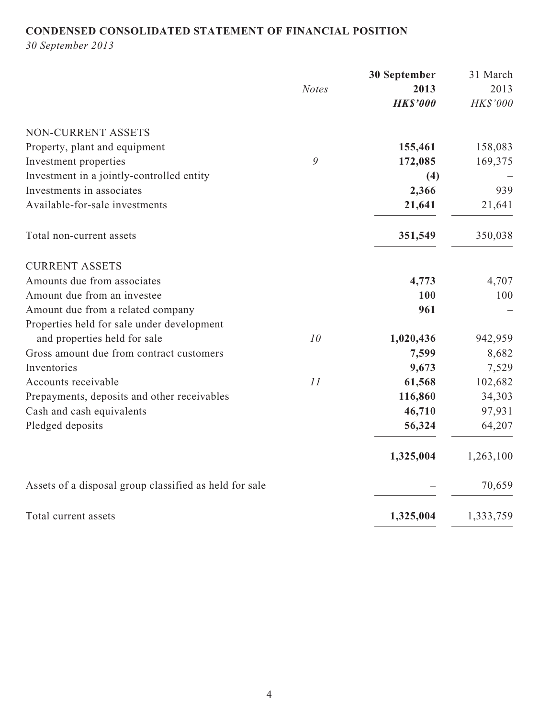# **CONDENSED CONSOLIDATED STATEMENT OF FINANCIAL POSITION**

*30 September 2013*

|                                                        |              | 30 September    | 31 March  |
|--------------------------------------------------------|--------------|-----------------|-----------|
|                                                        | <b>Notes</b> | 2013            | 2013      |
|                                                        |              | <b>HK\$'000</b> | HK\$'000  |
| <b>NON-CURRENT ASSETS</b>                              |              |                 |           |
| Property, plant and equipment                          |              | 155,461         | 158,083   |
| Investment properties                                  | 9            | 172,085         | 169,375   |
| Investment in a jointly-controlled entity              |              | (4)             |           |
| Investments in associates                              |              | 2,366           | 939       |
| Available-for-sale investments                         |              | 21,641          | 21,641    |
| Total non-current assets                               |              | 351,549         | 350,038   |
| <b>CURRENT ASSETS</b>                                  |              |                 |           |
| Amounts due from associates                            |              | 4,773           | 4,707     |
| Amount due from an investee                            |              | 100             | 100       |
| Amount due from a related company                      |              | 961             |           |
| Properties held for sale under development             |              |                 |           |
| and properties held for sale                           | 10           | 1,020,436       | 942,959   |
| Gross amount due from contract customers               |              | 7,599           | 8,682     |
| Inventories                                            |              | 9,673           | 7,529     |
| Accounts receivable                                    | 11           | 61,568          | 102,682   |
| Prepayments, deposits and other receivables            |              | 116,860         | 34,303    |
| Cash and cash equivalents                              |              | 46,710          | 97,931    |
| Pledged deposits                                       |              | 56,324          | 64,207    |
|                                                        |              | 1,325,004       | 1,263,100 |
| Assets of a disposal group classified as held for sale |              |                 | 70,659    |
| Total current assets                                   |              | 1,325,004       | 1,333,759 |

 $\sim$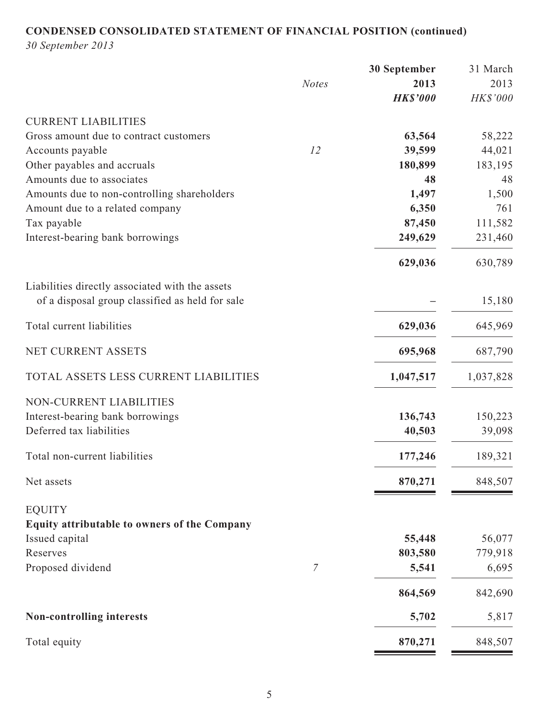# **CONDENSED CONSOLIDATED STATEMENT OF FINANCIAL POSITION (continued)**

*30 September 2013*

| <b>Notes</b><br>2013<br><b>HK\$'000</b>                                                            | 2013<br>HK\$'000 |
|----------------------------------------------------------------------------------------------------|------------------|
|                                                                                                    |                  |
|                                                                                                    |                  |
| <b>CURRENT LIABILITIES</b>                                                                         |                  |
| Gross amount due to contract customers<br>63,564                                                   | 58,222           |
| 12<br>39,599<br>Accounts payable                                                                   | 44,021           |
| Other payables and accruals<br>180,899                                                             | 183,195          |
| Amounts due to associates<br>48                                                                    | 48               |
| 1,497<br>Amounts due to non-controlling shareholders                                               | 1,500            |
| 6,350<br>Amount due to a related company                                                           | 761              |
| 87,450<br>Tax payable                                                                              | 111,582          |
| 249,629<br>Interest-bearing bank borrowings                                                        | 231,460          |
| 629,036                                                                                            | 630,789          |
| Liabilities directly associated with the assets<br>of a disposal group classified as held for sale | 15,180           |
| Total current liabilities<br>629,036                                                               | 645,969          |
| NET CURRENT ASSETS<br>695,968                                                                      | 687,790          |
| TOTAL ASSETS LESS CURRENT LIABILITIES<br>1,047,517                                                 | 1,037,828        |
| NON-CURRENT LIABILITIES                                                                            |                  |
| 136,743<br>Interest-bearing bank borrowings                                                        | 150,223          |
| Deferred tax liabilities<br>40,503                                                                 | 39,098           |
|                                                                                                    |                  |
| Total non-current liabilities<br>177,246                                                           | 189,321          |
| 870,271<br>Net assets                                                                              | 848,507          |
| <b>EQUITY</b>                                                                                      |                  |
| Equity attributable to owners of the Company                                                       |                  |
| Issued capital<br>55,448                                                                           | 56,077           |
| Reserves<br>803,580                                                                                | 779,918          |
| Proposed dividend<br>$\overline{7}$<br>5,541                                                       | 6,695            |
| 864,569                                                                                            | 842,690          |
| 5,702<br><b>Non-controlling interests</b>                                                          | 5,817            |
| Total equity<br>870,271                                                                            | 848,507          |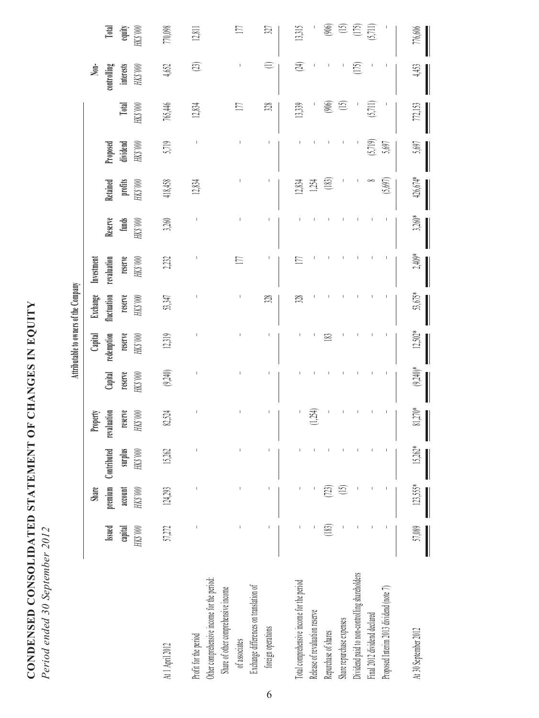CONDENSED CONSOLIDATED STATEMENT OF CHANGES IN EQUITY **CONDENSED CONSOLIDATED STATEMENT OF CHANGES IN EQUITY** Period ended 30 September 2012 *Period ended 30 September 2012*

|                                                                                                    |                | Share              |                          | Property             |            | Capital    | Exchange    | Investment  |          |                             |          |                 | $Non-$         |                 |
|----------------------------------------------------------------------------------------------------|----------------|--------------------|--------------------------|----------------------|------------|------------|-------------|-------------|----------|-----------------------------|----------|-----------------|----------------|-----------------|
|                                                                                                    | Isued          | premium            | Contributed              | revaluation          | Capital    | redemption | fluctuation | revaluation | Reserve  | Retained                    | Proposed |                 | controlling    | Total           |
|                                                                                                    | capital        | account            | surplus                  | reserve              | reserve    | reserve    | reserve     | reserve     | funds    | $\mathbf{profits}$ HKS '000 | dividend | Total           | interests      | equity          |
|                                                                                                    | HK3'000        | $\rm MK$ $\rm 000$ | ${\rm HK3~000}$          | $000\, \rm{SX}$<br>H | HK\$'000   | HK\$'000   | $900.8$ XH  | HK\$'000    | HK3'000  |                             | HK\$'000 | $\rm{HK}3\,000$ | HK\$'000       | 000. SXH        |
| At 1 April 2012                                                                                    | 57,272         | 124,293            | 15,262                   | 82,524               | (9,240)    | 12,319     | 53,347      | 2,32        | 3,260    | 418,458                     | 5,719    | 765,446         | 4,652          | 770,098         |
| Profit for the period                                                                              | $\overline{1}$ |                    | $\overline{\phantom{a}}$ |                      |            |            |             |             |          | 12,834                      |          | 12,834          | (3)            | 12,811          |
| Other comprehensive income for the period:<br>Share of other comprehensive income<br>of associates |                |                    |                          |                      |            |            |             | $\Box$      |          |                             |          |                 |                | E               |
| Exchange differences on translation of<br>foreign operations                                       |                |                    |                          |                      |            |            | 328         |             |          |                             |          | 328             |                | 327             |
| Total comprehensive income for the period                                                          |                |                    |                          |                      |            |            | 328         | $\Box$      |          | 12,834                      |          | 13,339          | $\mathfrak{A}$ | 13,315          |
| Release of revaluation reserve                                                                     |                |                    |                          |                      |            |            |             |             |          | 1,254                       |          |                 |                |                 |
| Repurchase of shares                                                                               | (183)          | 723)               |                          |                      |            | 183        |             |             |          | (183)                       |          | (906)           |                | (906)           |
| Share repurchase expenses                                                                          |                | $\Xi$              |                          |                      |            |            |             |             |          |                             |          | $\Xi$           |                | $\widehat{\Xi}$ |
| Dividend paid to non-controlling shareholders                                                      |                |                    |                          |                      |            |            |             |             |          |                             |          |                 | (175)          | (175)           |
| Final 2012 dividend declared                                                                       |                |                    |                          |                      |            |            |             |             |          |                             | (5,719)  | (5,711)         |                | (5,711)         |
| Proposed Interim 2013 dividend (note 7)                                                            |                |                    |                          |                      |            |            |             |             |          | (5,697)                     | 5,697    |                 |                |                 |
| At 30 September 2012                                                                               | 57,089         | 123,555*           | $15.262*$                | $81,270*$            | $(9,240)*$ | $12,502*$  | 53,675*     | $2,409*$    | $3,260*$ | 426,674*                    | 5,697    | $772,\!153$     | 4,453          | 776,606         |

Attributable to owners of the Company **Attributable to owners of the Company**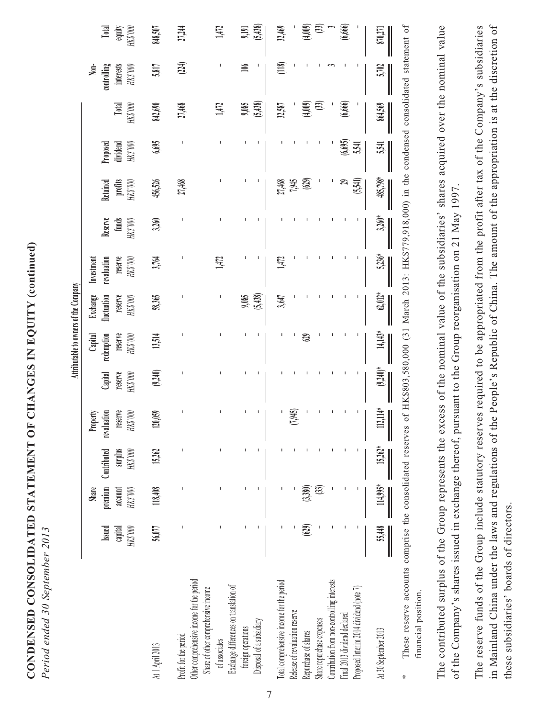CONDENSED CONSOLIDATED STATEMENT OF CHANGES IN EOUITY (continued) **CONDENSED CONSOLIDATED STATEMENT OF CHANGES IN EQUITY (continued)** Period ended 30 September 2013 *Period ended 30 September 2013*

|                                                                                          |                              |                                             |                                           |                                                            |                                       | Attributable to owners of the Company             |                                                            |                                                        |                                    |                                                         |                                        |                   |                                                                                            |                              |
|------------------------------------------------------------------------------------------|------------------------------|---------------------------------------------|-------------------------------------------|------------------------------------------------------------|---------------------------------------|---------------------------------------------------|------------------------------------------------------------|--------------------------------------------------------|------------------------------------|---------------------------------------------------------|----------------------------------------|-------------------|--------------------------------------------------------------------------------------------|------------------------------|
|                                                                                          | Isued<br>HK\$'000<br>capital | premium<br>Share<br>account<br>$\rm MK$ 000 | Contributed<br>surplus<br>${\rm HK3'000}$ | reserve<br>$\rm HK3.000$<br>revaluation<br><b>Property</b> | Capital<br>reserve<br>$\rm{HK}3\,000$ | redemption<br>reserve<br>Capital<br>$\rm HK3.000$ | Exchange<br>fluctuation<br>reserve<br>$\rm{HK}$ $\rm{000}$ | revaluation<br>$\rm{HK}3.000$<br>reserve<br>Investment | Reserve<br>$\rm{HK}3.000$<br>funds | Retained<br>$\mathop{\mathrm{proj}}\nolimits_{HK3'000}$ | $\rm{HK}3.000$<br>dividend<br>Proposed | HK\$'000<br>Total | $\sum$<br>controlling<br>HK\$'000<br>interests                                             | Total<br>equity<br>$000$ SHI |
| At 1 April 2013                                                                          | 56,077                       | 118,408                                     | 15,262                                    | 20,059                                                     | (9, 240)                              | 13,514                                            | 58,365                                                     | 3,764                                                  | 3,260                              | 456,526                                                 | 6,695                                  | 842,690           | 5,817                                                                                      | 848,507                      |
| Other comprehensive income for the period:<br>Profit for the period                      |                              |                                             |                                           |                                                            |                                       | I                                                 |                                                            |                                                        | I.                                 | 27,468                                                  |                                        | 27,468            | (24)                                                                                       | 27,244                       |
| Share of other comprehensive income<br>of associates                                     |                              |                                             |                                           | I                                                          |                                       | I                                                 | I                                                          | 1,472                                                  | I                                  |                                                         |                                        | 1472              |                                                                                            | 1,472                        |
| Exchange differences on translation of<br>Disposal of a subsidiary<br>foreign operations |                              |                                             |                                           |                                                            |                                       |                                                   | (5,438)<br>9,085                                           |                                                        |                                    |                                                         |                                        | (5,438)<br>9,085  | 106                                                                                        | 9,191<br>(5,438)             |
| Total comprehensive income for the period<br>Release of revaluation reserve              |                              |                                             |                                           | (7,945)                                                    |                                       |                                                   | 3,647                                                      | 1,472                                                  |                                    | 7,945<br>27,468                                         |                                        | 32,587            | (118)                                                                                      | 32,469                       |
| Repurchase of shares                                                                     | (62)                         | (3,380)                                     |                                           |                                                            |                                       | 629                                               |                                                            |                                                        |                                    | (629)                                                   |                                        | (4,009)           |                                                                                            | (4,009)                      |
| Contribution from non-controlling interests<br>Share repurchase expenses                 |                              | සි                                          |                                           |                                                            |                                       |                                                   |                                                            |                                                        |                                    |                                                         |                                        | $\mathfrak{B}$    |                                                                                            | $\circledR$                  |
| Proposed Interim 2014 dividend (note 7)<br>Final 2013 dividend declared                  |                              |                                             |                                           |                                                            |                                       |                                                   |                                                            |                                                        |                                    | (5,541)<br>Q                                            | (6, 695)<br>5541                       | (6,666)           |                                                                                            | (6,666)                      |
| At 30 September 2013                                                                     | 55,448                       | 114,995*                                    | 15,262*                                   | $\frac{112.114}{11}$                                       | $\frac{1}{240}$                       | 14,143*                                           | $62,012*$<br>$\overline{\phantom{a}}$                      | $5,236*$                                               | $3.260*$                           | 485,798*                                                | 5,541                                  | 864,569<br>I      | 5,702                                                                                      | 870,271                      |
| These reserve constructs on the constitution has reserve                                 |                              |                                             |                                           |                                                            |                                       |                                                   |                                                            |                                                        |                                    |                                                         |                                        |                   | af HERROG 520.000 (31 March 2013: HERPO 018 000) in the condensed consolidated storeant of |                              |

7

\* These reserve accounts comprise the consolidated reserves of HK\$803,580,000 (31 March 2013: HK\$779,918,000) in the condensed consolidated statement of These reserve accounts comprise the consolidated reserves of HK\$803,580,000 (31 March 2013; HK\$779,918,000) in the condensed consolidated statement of financial position. financial position.

The contributed surplus of the Group represents the excess of the nominal value of the subsidiaries' shares acquired over the nominal value The contributed surplus of the Group represents the excess of the nominal value of the subsidiaries' shares acquired over the nominal value of the Company's shares issued in exchange thereof, pursuant to the Group reorganisation on 21 May 1997. of the Company's shares issued in exchange thereof, pursuant to the Group reorganisation on 21 May 1997.

The reserve funds of the Group include statutory reserves required to be appropriated from the profit after tax of the Company's subsidiaries The reserve funds of the Group include statutory reserves required to be appropriated from the profit after tax of the Company's subsidiaries in Mainland China under the laws and regulations of the People's Republic of China. The amount of the appropriation is at the discretion of in Mainland China under the laws and regulations of the People's Republic of China. The amount of the appropriation is at the discretion of these subsidiaries' boards of directors. these subsidiaries' boards of directors.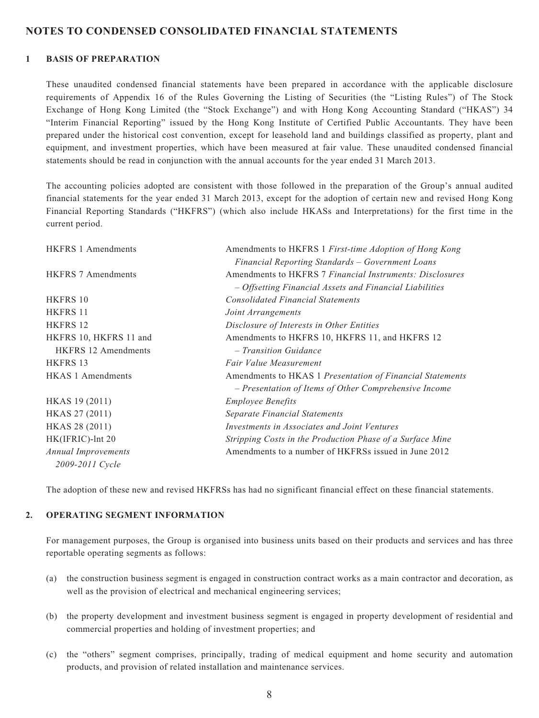## **NOTES TO CONDENSED CONSOLIDATED FINANCIAL STATEMENTS**

#### **1 BASIS OF PREPARATION**

These unaudited condensed financial statements have been prepared in accordance with the applicable disclosure requirements of Appendix 16 of the Rules Governing the Listing of Securities (the "Listing Rules") of The Stock Exchange of Hong Kong Limited (the "Stock Exchange") and with Hong Kong Accounting Standard ("HKAS") 34 "Interim Financial Reporting" issued by the Hong Kong Institute of Certified Public Accountants. They have been prepared under the historical cost convention, except for leasehold land and buildings classified as property, plant and equipment, and investment properties, which have been measured at fair value. These unaudited condensed financial statements should be read in conjunction with the annual accounts for the year ended 31 March 2013.

The accounting policies adopted are consistent with those followed in the preparation of the Group's annual audited financial statements for the year ended 31 March 2013, except for the adoption of certain new and revised Hong Kong Financial Reporting Standards ("HKFRS") (which also include HKASs and Interpretations) for the first time in the current period.

| <b>HKFRS 1 Amendments</b>  | Amendments to HKFRS 1 First-time Adoption of Hong Kong    |
|----------------------------|-----------------------------------------------------------|
|                            | Financial Reporting Standards - Government Loans          |
| <b>HKFRS 7 Amendments</b>  | Amendments to HKFRS 7 Financial Instruments: Disclosures  |
|                            | - Offsetting Financial Assets and Financial Liabilities   |
| <b>HKFRS 10</b>            | <b>Consolidated Financial Statements</b>                  |
| <b>HKFRS 11</b>            | Joint Arrangements                                        |
| HKFRS 12                   | Disclosure of Interests in Other Entities                 |
| HKFRS 10, HKFRS 11 and     | Amendments to HKFRS 10, HKFRS 11, and HKFRS 12            |
| <b>HKFRS</b> 12 Amendments | $-$ Transition Guidance                                   |
| <b>HKFRS 13</b>            | Fair Value Measurement                                    |
| <b>HKAS 1 Amendments</b>   | Amendments to HKAS 1 Presentation of Financial Statements |
|                            | - Presentation of Items of Other Comprehensive Income     |
| HKAS 19 (2011)             | <b>Employee Benefits</b>                                  |
| HKAS 27 (2011)             | <b>Separate Financial Statements</b>                      |
| HKAS 28 (2011)             | Investments in Associates and Joint Ventures              |
| HK(IFRIC)-lnt 20           | Stripping Costs in the Production Phase of a Surface Mine |
| <b>Annual Improvements</b> | Amendments to a number of HKFRSs issued in June 2012      |
| 2009-2011 Cycle            |                                                           |

The adoption of these new and revised HKFRSs has had no significant financial effect on these financial statements.

#### **2. OPERATING SEGMENT INFORMATION**

For management purposes, the Group is organised into business units based on their products and services and has three reportable operating segments as follows:

- (a) the construction business segment is engaged in construction contract works as a main contractor and decoration, as well as the provision of electrical and mechanical engineering services;
- (b) the property development and investment business segment is engaged in property development of residential and commercial properties and holding of investment properties; and
- (c) the "others" segment comprises, principally, trading of medical equipment and home security and automation products, and provision of related installation and maintenance services.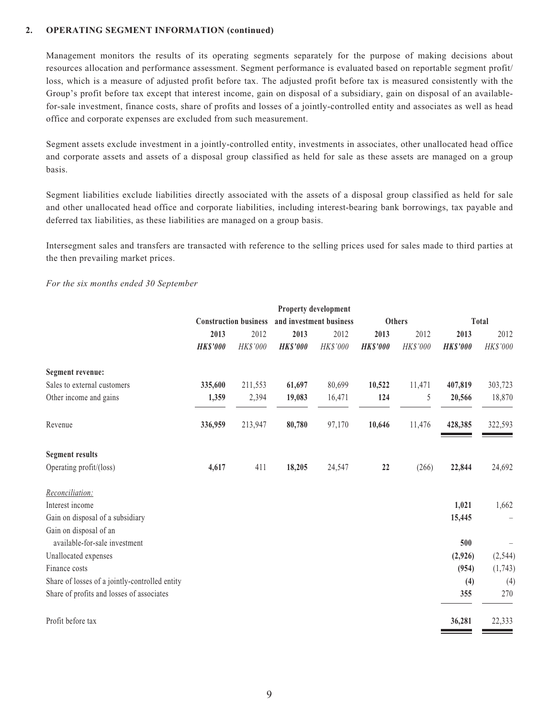#### **2. OPERATING SEGMENT INFORMATION (continued)**

Management monitors the results of its operating segments separately for the purpose of making decisions about resources allocation and performance assessment. Segment performance is evaluated based on reportable segment profit/ loss, which is a measure of adjusted profit before tax. The adjusted profit before tax is measured consistently with the Group's profit before tax except that interest income, gain on disposal of a subsidiary, gain on disposal of an availablefor-sale investment, finance costs, share of profits and losses of a jointly-controlled entity and associates as well as head office and corporate expenses are excluded from such measurement.

Segment assets exclude investment in a jointly-controlled entity, investments in associates, other unallocated head office and corporate assets and assets of a disposal group classified as held for sale as these assets are managed on a group basis.

Segment liabilities exclude liabilities directly associated with the assets of a disposal group classified as held for sale and other unallocated head office and corporate liabilities, including interest-bearing bank borrowings, tax payable and deferred tax liabilities, as these liabilities are managed on a group basis.

Intersegment sales and transfers are transacted with reference to the selling prices used for sales made to third parties at the then prevailing market prices.

*For the six months ended 30 September*

|                                                |                 |                              |                 | Property development    |                |                 |                |              |
|------------------------------------------------|-----------------|------------------------------|-----------------|-------------------------|----------------|-----------------|----------------|--------------|
|                                                |                 | <b>Construction business</b> |                 | and investment business |                | Others          |                | <b>Total</b> |
|                                                | 2013            | 2012                         | 2013            | 2012                    | 2013           | 2012            | 2013           | 2012         |
|                                                | <b>HK\$'000</b> | HK\$'000                     | <b>HK\$'000</b> | HK\$'000                | <b>HKS'000</b> | <b>HK\$'000</b> | <b>HKS'000</b> | HK\$'000     |
| <b>Segment revenue:</b>                        |                 |                              |                 |                         |                |                 |                |              |
| Sales to external customers                    | 335,600         | 211,553                      | 61,697          | 80,699                  | 10,522         | 11,471          | 407,819        | 303,723      |
| Other income and gains                         | 1,359           | 2,394                        | 19,083          | 16,471                  | 124            | 5               | 20,566         | 18,870       |
| Revenue                                        | 336,959         | 213,947                      | 80,780          | 97,170                  | 10,646         | 11,476          | 428,385        | 322,593      |
| <b>Segment results</b>                         |                 |                              |                 |                         |                |                 |                |              |
| Operating profit/(loss)                        | 4,617           | 411                          | 18,205          | 24,547                  | 22             | (266)           | 22,844         | 24,692       |
| Reconciliation:                                |                 |                              |                 |                         |                |                 |                |              |
| Interest income                                |                 |                              |                 |                         |                |                 | 1,021          | 1,662        |
| Gain on disposal of a subsidiary               |                 |                              |                 |                         |                |                 | 15,445         |              |
| Gain on disposal of an                         |                 |                              |                 |                         |                |                 |                |              |
| available-for-sale investment                  |                 |                              |                 |                         |                |                 | 500            |              |
| Unallocated expenses                           |                 |                              |                 |                         |                |                 | (2,926)        | (2, 544)     |
| Finance costs                                  |                 |                              |                 |                         |                |                 | (954)          | (1,743)      |
| Share of losses of a jointly-controlled entity |                 |                              |                 |                         |                |                 | (4)            | (4)          |
| Share of profits and losses of associates      |                 |                              |                 |                         |                |                 | 355            | 270          |
| Profit before tax                              |                 |                              |                 |                         |                |                 | 36,281         | 22,333       |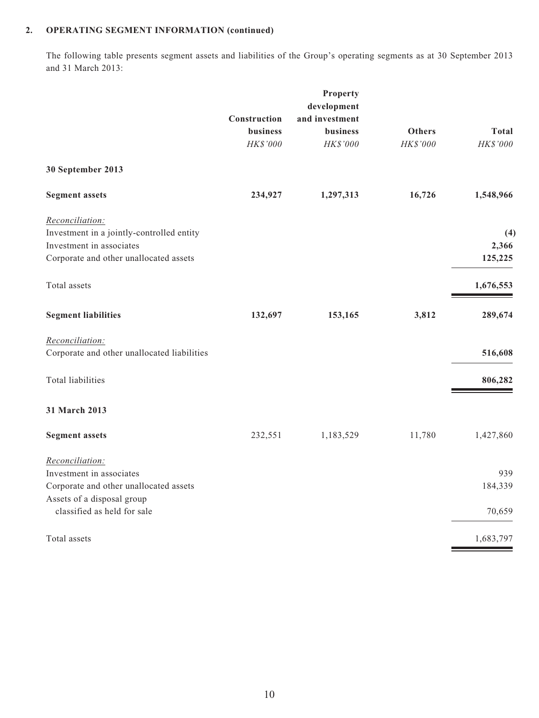## **2. OPERATING SEGMENT INFORMATION (continued)**

The following table presents segment assets and liabilities of the Group's operating segments as at 30 September 2013 and 31 March 2013:

|                                             |                 | Property                      |               |           |
|---------------------------------------------|-----------------|-------------------------------|---------------|-----------|
|                                             | Construction    | development<br>and investment |               |           |
|                                             | <b>business</b> | business                      | <b>Others</b> | Total     |
|                                             | HK\$'000        | HK\$'000                      | HK\$'000      | HK\$'000  |
| 30 September 2013                           |                 |                               |               |           |
| <b>Segment assets</b>                       | 234,927         | 1,297,313                     | 16,726        | 1,548,966 |
| Reconciliation:                             |                 |                               |               |           |
| Investment in a jointly-controlled entity   |                 |                               |               | (4)       |
| Investment in associates                    |                 |                               |               | 2,366     |
| Corporate and other unallocated assets      |                 |                               |               | 125,225   |
| Total assets                                |                 |                               |               | 1,676,553 |
| <b>Segment liabilities</b>                  | 132,697         | 153,165                       | 3,812         | 289,674   |
| Reconciliation:                             |                 |                               |               |           |
| Corporate and other unallocated liabilities |                 |                               |               | 516,608   |
| Total liabilities                           |                 |                               |               | 806,282   |
| 31 March 2013                               |                 |                               |               |           |
| <b>Segment assets</b>                       | 232,551         | 1,183,529                     | 11,780        | 1,427,860 |
| Reconciliation:                             |                 |                               |               |           |
| Investment in associates                    |                 |                               |               | 939       |
| Corporate and other unallocated assets      |                 |                               |               | 184,339   |
| Assets of a disposal group                  |                 |                               |               |           |
| classified as held for sale                 |                 |                               |               | 70,659    |
| Total assets                                |                 |                               |               | 1,683,797 |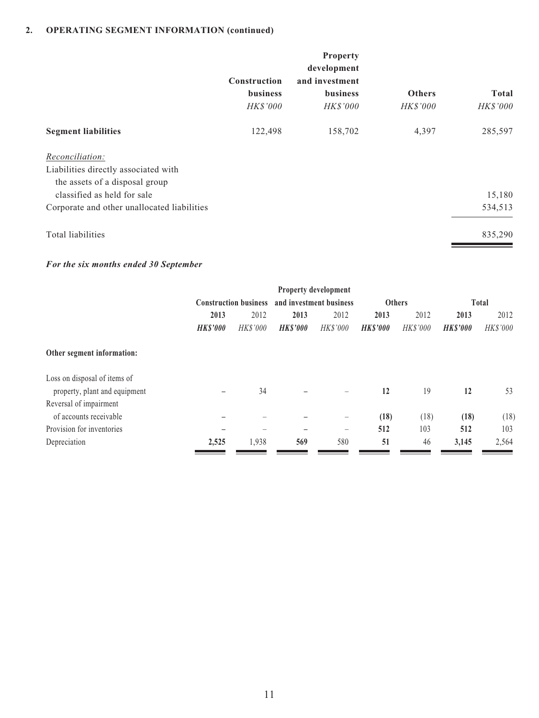|                                                                                           | Construction<br><b>business</b><br>HK\$'000 | Property<br>development<br>and investment<br><b>business</b><br><b>HK\$'000</b> | <b>Others</b><br><i>HK\$'000</i> | <b>Total</b><br><b>HK\$'000</b> |
|-------------------------------------------------------------------------------------------|---------------------------------------------|---------------------------------------------------------------------------------|----------------------------------|---------------------------------|
| <b>Segment liabilities</b>                                                                | 122,498                                     | 158,702                                                                         | 4,397                            | 285,597                         |
| Reconciliation:<br>Liabilities directly associated with<br>the assets of a disposal group |                                             |                                                                                 |                                  |                                 |
| classified as held for sale                                                               |                                             |                                                                                 |                                  | 15,180                          |
| Corporate and other unallocated liabilities                                               |                                             |                                                                                 |                                  | 534,513                         |
| Total liabilities                                                                         |                                             |                                                                                 |                                  | 835,290                         |

## *For the six months ended 30 September*

|                               |                 |                              |                 | <b>Property development</b> |                 |                 |                 |              |
|-------------------------------|-----------------|------------------------------|-----------------|-----------------------------|-----------------|-----------------|-----------------|--------------|
|                               |                 | <b>Construction business</b> |                 | and investment business     | <b>Others</b>   |                 |                 | <b>Total</b> |
|                               | 2013            | 2012                         | 2013            | 2012                        | 2013            | 2012            | 2013            | 2012         |
|                               | <b>HK\$'000</b> | <b>HK\$'000</b>              | <b>HK\$'000</b> | <b>HK\$'000</b>             | <b>HK\$'000</b> | <b>HK\$'000</b> | <b>HK\$'000</b> | HK\$'000     |
| Other segment information:    |                 |                              |                 |                             |                 |                 |                 |              |
| Loss on disposal of items of  |                 |                              |                 |                             |                 |                 |                 |              |
| property, plant and equipment |                 | 34                           |                 |                             | 12              | 19              | 12              | 53           |
| Reversal of impairment        |                 |                              |                 |                             |                 |                 |                 |              |
| of accounts receivable        |                 |                              |                 | -                           | (18)            | (18)            | (18)            | (18)         |
| Provision for inventories     |                 |                              |                 |                             | 512             | 103             | 512             | 103          |
| Depreciation                  | 2,525           | 1,938                        | 569             | 580                         | 51              | 46              | 3,145           | 2,564        |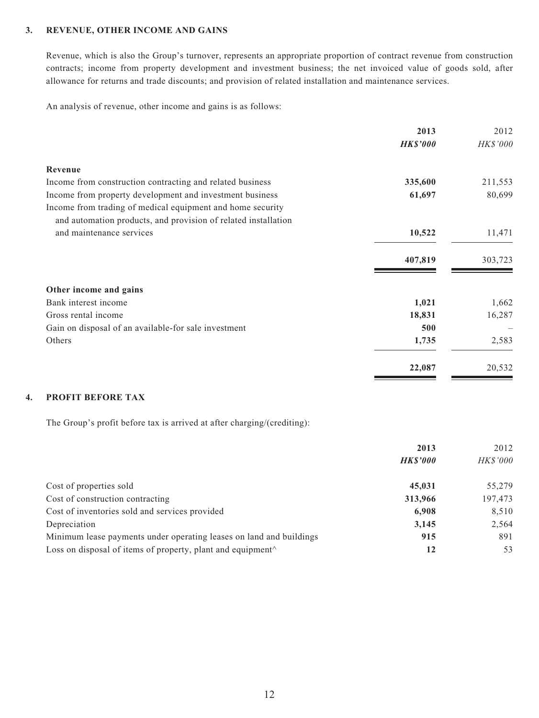### **3. REVENUE, OTHER INCOME AND GAINS**

Revenue, which is also the Group's turnover, represents an appropriate proportion of contract revenue from construction contracts; income from property development and investment business; the net invoiced value of goods sold, after allowance for returns and trade discounts; and provision of related installation and maintenance services.

An analysis of revenue, other income and gains is as follows:

|                                                                                                                              | 2013            | 2012     |
|------------------------------------------------------------------------------------------------------------------------------|-----------------|----------|
|                                                                                                                              | <b>HK\$'000</b> | HK\$'000 |
| Revenue                                                                                                                      |                 |          |
| Income from construction contracting and related business                                                                    | 335,600         | 211,553  |
| Income from property development and investment business                                                                     | 61,697          | 80,699   |
| Income from trading of medical equipment and home security<br>and automation products, and provision of related installation |                 |          |
| and maintenance services                                                                                                     | 10,522          | 11,471   |
|                                                                                                                              | 407,819         | 303,723  |
| Other income and gains                                                                                                       |                 |          |
| Bank interest income                                                                                                         | 1,021           | 1,662    |
| Gross rental income                                                                                                          | 18,831          | 16,287   |
| Gain on disposal of an available-for sale investment                                                                         | 500             |          |
| Others                                                                                                                       | 1,735           | 2,583    |
|                                                                                                                              | 22,087          | 20,532   |
|                                                                                                                              |                 |          |

### **4. PROFIT BEFORE TAX**

The Group's profit before tax is arrived at after charging/(crediting):

|                                                                                           | 2013           | 2012            |
|-------------------------------------------------------------------------------------------|----------------|-----------------|
|                                                                                           | <b>HKS'000</b> | <i>HK\$'000</i> |
| Cost of properties sold                                                                   | 45,031         | 55,279          |
| Cost of construction contracting                                                          | 313,966        | 197,473         |
| Cost of inventories sold and services provided                                            | 6,908          | 8,510           |
| Depreciation                                                                              | 3,145          | 2,564           |
| Minimum lease payments under operating leases on land and buildings                       | 915            | 891             |
| Loss on disposal of items of property, plant and equipment <sup><math>\wedge</math></sup> | 12             | 53              |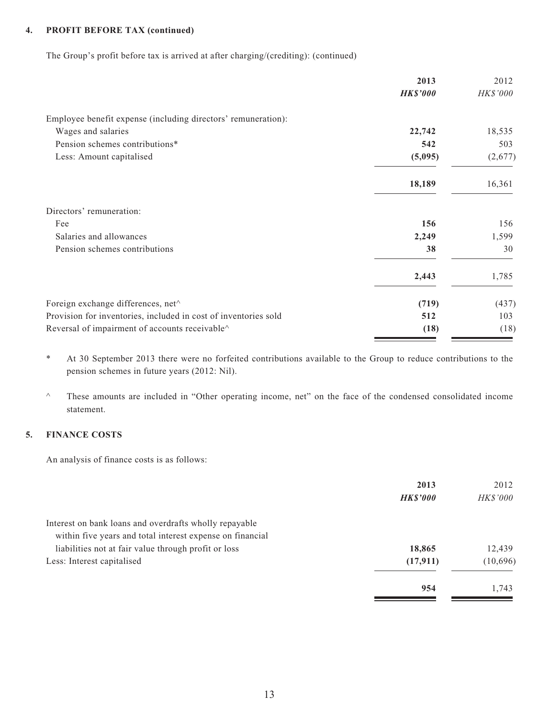#### **4. PROFIT BEFORE TAX (continued)**

The Group's profit before tax is arrived at after charging/(crediting): (continued)

|                                                                 | 2013            | 2012     |
|-----------------------------------------------------------------|-----------------|----------|
|                                                                 | <b>HK\$'000</b> | HK\$'000 |
| Employee benefit expense (including directors' remuneration):   |                 |          |
| Wages and salaries                                              | 22,742          | 18,535   |
| Pension schemes contributions*                                  | 542             | 503      |
| Less: Amount capitalised                                        | (5,095)         | (2,677)  |
|                                                                 | 18,189          | 16,361   |
| Directors' remuneration:                                        |                 |          |
| Fee                                                             | 156             | 156      |
| Salaries and allowances                                         | 2,249           | 1,599    |
| Pension schemes contributions                                   | 38              | 30       |
|                                                                 | 2,443           | 1,785    |
| Foreign exchange differences, net^                              | (719)           | (437)    |
| Provision for inventories, included in cost of inventories sold | 512             | 103      |
| Reversal of impairment of accounts receivable^                  | (18)            | (18)     |

- \* At 30 September 2013 there were no forfeited contributions available to the Group to reduce contributions to the pension schemes in future years (2012: Nil).
- ^ These amounts are included in "Other operating income, net" on the face of the condensed consolidated income statement.

### **5. FINANCE COSTS**

An analysis of finance costs is as follows:

| 2013            | 2012            |
|-----------------|-----------------|
| <b>HK\$'000</b> | <i>HK\$'000</i> |
|                 |                 |
|                 |                 |
| 18,865          | 12,439          |
| (17, 911)       | (10, 696)       |
| 954             | 1,743           |
|                 |                 |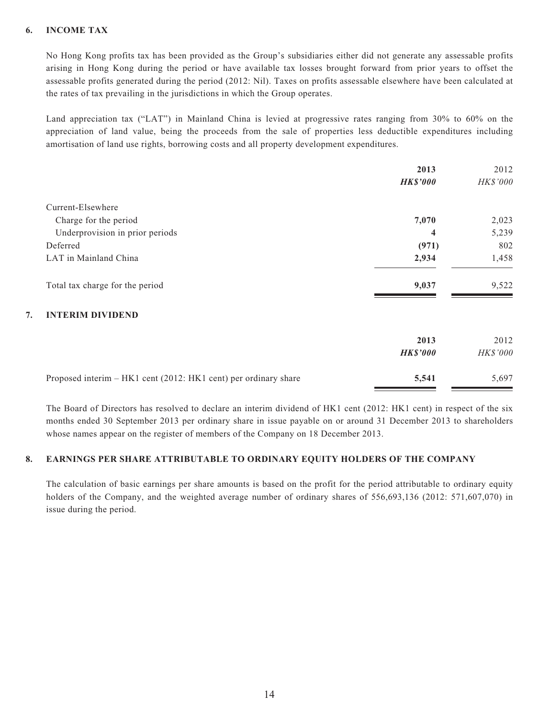### **6. INCOME TAX**

No Hong Kong profits tax has been provided as the Group's subsidiaries either did not generate any assessable profits arising in Hong Kong during the period or have available tax losses brought forward from prior years to offset the assessable profits generated during the period (2012: Nil). Taxes on profits assessable elsewhere have been calculated at the rates of tax prevailing in the jurisdictions in which the Group operates.

Land appreciation tax ("LAT") in Mainland China is levied at progressive rates ranging from 30% to 60% on the appreciation of land value, being the proceeds from the sale of properties less deductible expenditures including amortisation of land use rights, borrowing costs and all property development expenditures.

|                                                                 | 2013            | 2012     |
|-----------------------------------------------------------------|-----------------|----------|
|                                                                 | <b>HK\$'000</b> | HK\$'000 |
| Current-Elsewhere                                               |                 |          |
| Charge for the period                                           | 7,070           | 2,023    |
| Underprovision in prior periods                                 | 4               | 5,239    |
| Deferred                                                        | (971)           | 802      |
| LAT in Mainland China                                           | 2,934           | 1,458    |
| Total tax charge for the period                                 | 9,037           | 9,522    |
| <b>INTERIM DIVIDEND</b><br>7.                                   |                 |          |
|                                                                 | 2013            | 2012     |
|                                                                 | <b>HK\$'000</b> | HK\$'000 |
| Proposed interim – HK1 cent (2012: HK1 cent) per ordinary share | 5,541           | 5,697    |

The Board of Directors has resolved to declare an interim dividend of HK1 cent (2012: HK1 cent) in respect of the six months ended 30 September 2013 per ordinary share in issue payable on or around 31 December 2013 to shareholders whose names appear on the register of members of the Company on 18 December 2013.

#### **8. EARNINGS PER SHARE ATTRIBUTABLE TO ORDINARY EQUITY HOLDERS OF THE COMPANY**

The calculation of basic earnings per share amounts is based on the profit for the period attributable to ordinary equity holders of the Company, and the weighted average number of ordinary shares of 556,693,136 (2012: 571,607,070) in issue during the period.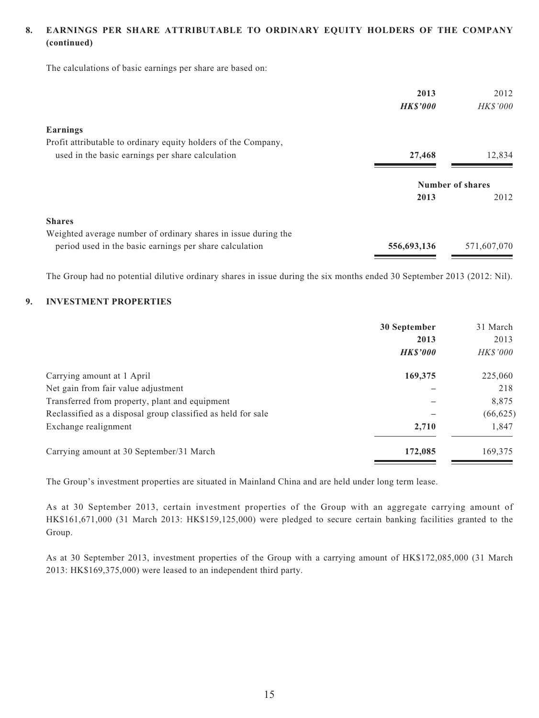## **8. EARNINGS PER SHARE ATTRIBUTABLE TO ORDINARY EQUITY HOLDERS OF THE COMPANY (continued)**

The calculations of basic earnings per share are based on:

|                                                                | 2013           | 2012             |
|----------------------------------------------------------------|----------------|------------------|
|                                                                | <b>HKS'000</b> | <b>HK\$'000</b>  |
| Earnings                                                       |                |                  |
| Profit attributable to ordinary equity holders of the Company, |                |                  |
| used in the basic earnings per share calculation               | 27,468         | 12,834           |
|                                                                |                | Number of shares |
|                                                                | 2013           | 2012             |
| <b>Shares</b>                                                  |                |                  |
| Weighted average number of ordinary shares in issue during the |                |                  |
| period used in the basic earnings per share calculation        | 556,693,136    | 571,607,070      |

The Group had no potential dilutive ordinary shares in issue during the six months ended 30 September 2013 (2012: Nil).

### **9. INVESTMENT PROPERTIES**

|                                                              | 30 September   | 31 March        |
|--------------------------------------------------------------|----------------|-----------------|
|                                                              | 2013           | 2013            |
|                                                              | <b>HKS'000</b> | <b>HK\$'000</b> |
| Carrying amount at 1 April                                   | 169,375        | 225,060         |
| Net gain from fair value adjustment                          |                | 218             |
| Transferred from property, plant and equipment               |                | 8,875           |
| Reclassified as a disposal group classified as held for sale |                | (66, 625)       |
| Exchange realignment                                         | 2,710          | 1,847           |
| Carrying amount at 30 September/31 March                     | 172,085        | 169,375         |

The Group's investment properties are situated in Mainland China and are held under long term lease.

As at 30 September 2013, certain investment properties of the Group with an aggregate carrying amount of HK\$161,671,000 (31 March 2013: HK\$159,125,000) were pledged to secure certain banking facilities granted to the Group.

As at 30 September 2013, investment properties of the Group with a carrying amount of HK\$172,085,000 (31 March 2013: HK\$169,375,000) were leased to an independent third party.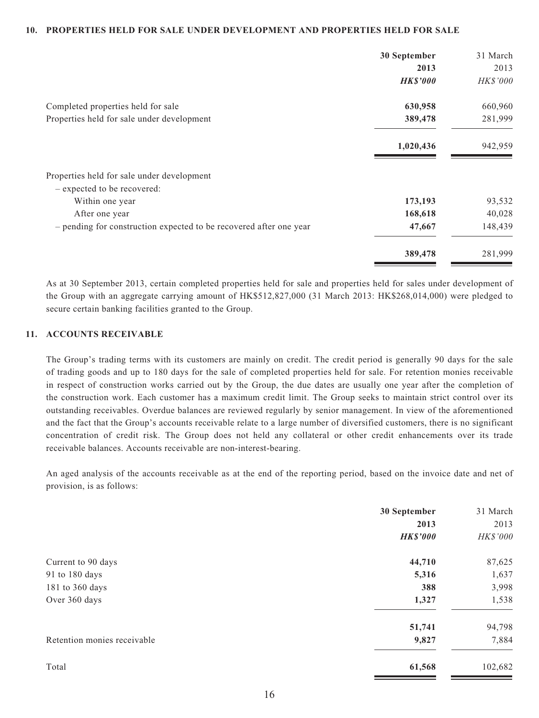#### **10. PROPERTIES HELD FOR SALE UNDER DEVELOPMENT AND PROPERTIES HELD FOR SALE**

|                                                                    | 30 September    | 31 March |
|--------------------------------------------------------------------|-----------------|----------|
|                                                                    | 2013            | 2013     |
|                                                                    | <b>HK\$'000</b> | HK\$'000 |
| Completed properties held for sale                                 | 630,958         | 660,960  |
| Properties held for sale under development                         | 389,478         | 281,999  |
|                                                                    | 1,020,436       | 942,959  |
| Properties held for sale under development                         |                 |          |
| - expected to be recovered:                                        |                 |          |
| Within one year                                                    | 173,193         | 93,532   |
| After one year                                                     | 168,618         | 40,028   |
| - pending for construction expected to be recovered after one year | 47,667          | 148,439  |
|                                                                    | 389,478         | 281,999  |

As at 30 September 2013, certain completed properties held for sale and properties held for sales under development of the Group with an aggregate carrying amount of HK\$512,827,000 (31 March 2013: HK\$268,014,000) were pledged to secure certain banking facilities granted to the Group.

#### **11. ACCOUNTS RECEIVABLE**

The Group's trading terms with its customers are mainly on credit. The credit period is generally 90 days for the sale of trading goods and up to 180 days for the sale of completed properties held for sale. For retention monies receivable in respect of construction works carried out by the Group, the due dates are usually one year after the completion of the construction work. Each customer has a maximum credit limit. The Group seeks to maintain strict control over its outstanding receivables. Overdue balances are reviewed regularly by senior management. In view of the aforementioned and the fact that the Group's accounts receivable relate to a large number of diversified customers, there is no significant concentration of credit risk. The Group does not held any collateral or other credit enhancements over its trade receivable balances. Accounts receivable are non-interest-bearing.

An aged analysis of the accounts receivable as at the end of the reporting period, based on the invoice date and net of provision, is as follows:

|                             | 30 September            | 31 March         |
|-----------------------------|-------------------------|------------------|
|                             | 2013<br><b>HK\$'000</b> | 2013<br>HK\$'000 |
| Current to 90 days          | 44,710                  | 87,625           |
| 91 to 180 days              | 5,316                   | 1,637            |
| 181 to 360 days             | 388                     | 3,998            |
| Over 360 days               | 1,327                   | 1,538            |
|                             | 51,741                  | 94,798           |
| Retention monies receivable | 9,827                   | 7,884            |
| Total                       | 61,568                  | 102,682          |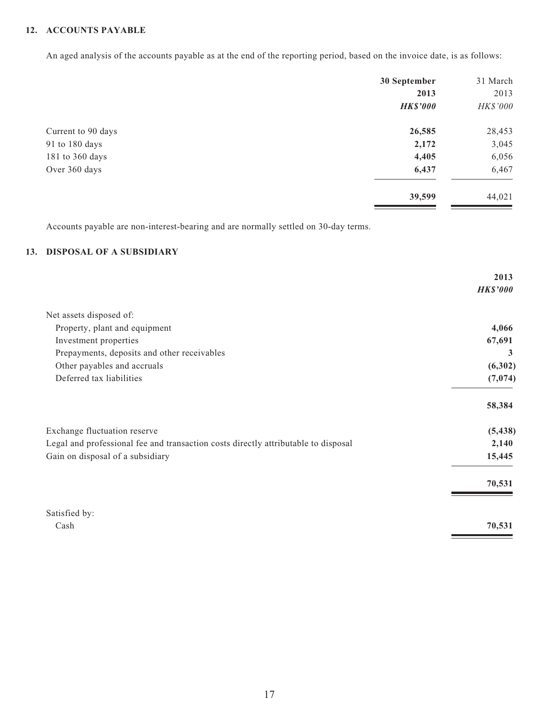#### **12. ACCOUNTS PAYABLE**

An aged analysis of the accounts payable as at the end of the reporting period, based on the invoice date, is as follows:

| 30 September    | 31 March |
|-----------------|----------|
| 2013            | 2013     |
| <b>HK\$'000</b> | HK\$'000 |
| 26,585          | 28,453   |
| 2,172           | 3,045    |
| 4,405           | 6,056    |
| 6,437           | 6,467    |
| 39,599          | 44,021   |
|                 |          |

Accounts payable are non-interest-bearing and are normally settled on 30-day terms.

# **13. DISPOSAL OF A SUBSIDIARY**

|                                                                                    | 2013            |
|------------------------------------------------------------------------------------|-----------------|
|                                                                                    | <b>HK\$'000</b> |
| Net assets disposed of:                                                            |                 |
| Property, plant and equipment                                                      | 4,066           |
| Investment properties                                                              | 67,691          |
| Prepayments, deposits and other receivables                                        | 3               |
| Other payables and accruals                                                        | (6,302)         |
| Deferred tax liabilities                                                           | (7,074)         |
|                                                                                    | 58,384          |
| Exchange fluctuation reserve                                                       | (5, 438)        |
| Legal and professional fee and transaction costs directly attributable to disposal | 2,140           |
| Gain on disposal of a subsidiary                                                   | 15,445          |
|                                                                                    | 70,531          |
| Satisfied by:                                                                      |                 |
| Cash                                                                               | 70,531          |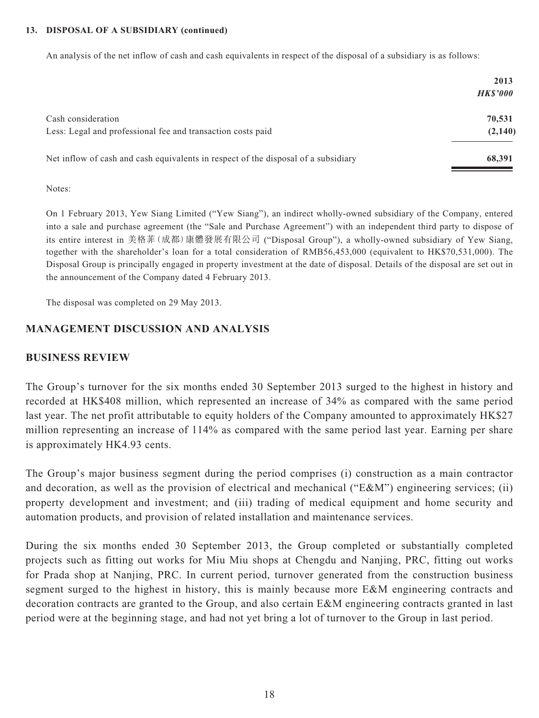#### **13. DISPOSAL OF A SUBSIDIARY (continued)**

An analysis of the net inflow of cash and cash equivalents in respect of the disposal of a subsidiary is as follows:

|                                                                                    | 2013<br><b>HK\$'000</b> |
|------------------------------------------------------------------------------------|-------------------------|
| Cash consideration<br>Less: Legal and professional fee and transaction costs paid  | 70,531<br>(2,140)       |
| Net inflow of cash and cash equivalents in respect of the disposal of a subsidiary | 68,391                  |

Notes:

On 1 February 2013, Yew Siang Limited ("Yew Siang"), an indirect wholly-owned subsidiary of the Company, entered into a sale and purchase agreement (the "Sale and Purchase Agreement") with an independent third party to dispose of its entire interest in 美格菲(成都)康體發展有限公司 ("Disposal Group"), a wholly-owned subsidiary of Yew Siang, together with the shareholder's loan for a total consideration of RMB56,453,000 (equivalent to HK\$70,531,000). The Disposal Group is principally engaged in property investment at the date of disposal. Details of the disposal are set out in the announcement of the Company dated 4 February 2013.

The disposal was completed on 29 May 2013.

## **MANAGEMENT DISCUSSION AND ANALYSIS**

## **BUSINESS REVIEW**

The Group's turnover for the six months ended 30 September 2013 surged to the highest in history and recorded at HK\$408 million, which represented an increase of 34% as compared with the same period last year. The net profit attributable to equity holders of the Company amounted to approximately HK\$27 million representing an increase of 114% as compared with the same period last year. Earning per share is approximately HK4.93 cents.

The Group's major business segment during the period comprises (i) construction as a main contractor and decoration, as well as the provision of electrical and mechanical ("E&M") engineering services; (ii) property development and investment; and (iii) trading of medical equipment and home security and automation products, and provision of related installation and maintenance services.

During the six months ended 30 September 2013, the Group completed or substantially completed projects such as fitting out works for Miu Miu shops at Chengdu and Nanjing, PRC, fitting out works for Prada shop at Nanjing, PRC. In current period, turnover generated from the construction business segment surged to the highest in history, this is mainly because more E&M engineering contracts and decoration contracts are granted to the Group, and also certain E&M engineering contracts granted in last period were at the beginning stage, and had not yet bring a lot of turnover to the Group in last period.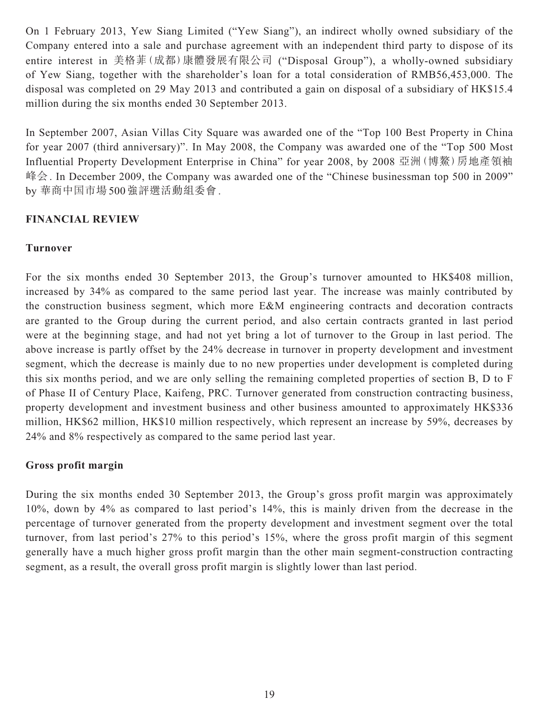On 1 February 2013, Yew Siang Limited ("Yew Siang"), an indirect wholly owned subsidiary of the Company entered into a sale and purchase agreement with an independent third party to dispose of its entire interest in 美格菲(成都)康體發展有限公司 ("Disposal Group"), a wholly-owned subsidiary of Yew Siang, together with the shareholder's loan for a total consideration of RMB56,453,000. The disposal was completed on 29 May 2013 and contributed a gain on disposal of a subsidiary of HK\$15.4 million during the six months ended 30 September 2013.

In September 2007, Asian Villas City Square was awarded one of the "Top 100 Best Property in China for year 2007 (third anniversary)". In May 2008, the Company was awarded one of the "Top 500 Most Influential Property Development Enterprise in China" for year 2008, by 2008 亞洲(博鰲)房地產領袖 峰会. In December 2009, the Company was awarded one of the "Chinese businessman top 500 in 2009" by 華商中国市場500強評選活動組委會.

# **FINANCIAL REVIEW**

## **Turnover**

For the six months ended 30 September 2013, the Group's turnover amounted to HK\$408 million, increased by 34% as compared to the same period last year. The increase was mainly contributed by the construction business segment, which more E&M engineering contracts and decoration contracts are granted to the Group during the current period, and also certain contracts granted in last period were at the beginning stage, and had not yet bring a lot of turnover to the Group in last period. The above increase is partly offset by the 24% decrease in turnover in property development and investment segment, which the decrease is mainly due to no new properties under development is completed during this six months period, and we are only selling the remaining completed properties of section B, D to F of Phase II of Century Place, Kaifeng, PRC. Turnover generated from construction contracting business, property development and investment business and other business amounted to approximately HK\$336 million, HK\$62 million, HK\$10 million respectively, which represent an increase by 59%, decreases by 24% and 8% respectively as compared to the same period last year.

## **Gross profit margin**

During the six months ended 30 September 2013, the Group's gross profit margin was approximately 10%, down by 4% as compared to last period's 14%, this is mainly driven from the decrease in the percentage of turnover generated from the property development and investment segment over the total turnover, from last period's 27% to this period's 15%, where the gross profit margin of this segment generally have a much higher gross profit margin than the other main segment-construction contracting segment, as a result, the overall gross profit margin is slightly lower than last period.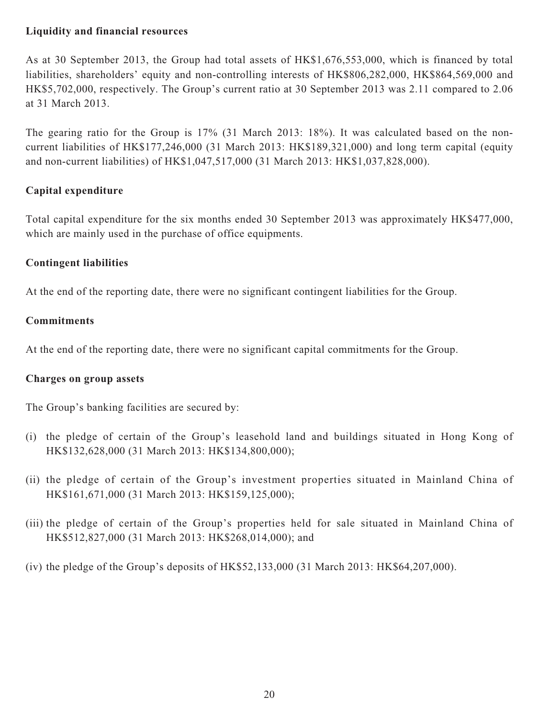# **Liquidity and financial resources**

As at 30 September 2013, the Group had total assets of HK\$1,676,553,000, which is financed by total liabilities, shareholders' equity and non-controlling interests of HK\$806,282,000, HK\$864,569,000 and HK\$5,702,000, respectively. The Group's current ratio at 30 September 2013 was 2.11 compared to 2.06 at 31 March 2013.

The gearing ratio for the Group is 17% (31 March 2013: 18%). It was calculated based on the noncurrent liabilities of HK\$177,246,000 (31 March 2013: HK\$189,321,000) and long term capital (equity and non-current liabilities) of HK\$1,047,517,000 (31 March 2013: HK\$1,037,828,000).

# **Capital expenditure**

Total capital expenditure for the six months ended 30 September 2013 was approximately HK\$477,000, which are mainly used in the purchase of office equipments.

# **Contingent liabilities**

At the end of the reporting date, there were no significant contingent liabilities for the Group.

# **Commitments**

At the end of the reporting date, there were no significant capital commitments for the Group.

# **Charges on group assets**

The Group's banking facilities are secured by:

- (i) the pledge of certain of the Group's leasehold land and buildings situated in Hong Kong of HK\$132,628,000 (31 March 2013: HK\$134,800,000);
- (ii) the pledge of certain of the Group's investment properties situated in Mainland China of HK\$161,671,000 (31 March 2013: HK\$159,125,000);
- (iii) the pledge of certain of the Group's properties held for sale situated in Mainland China of HK\$512,827,000 (31 March 2013: HK\$268,014,000); and

(iv) the pledge of the Group's deposits of HK\$52,133,000 (31 March 2013: HK\$64,207,000).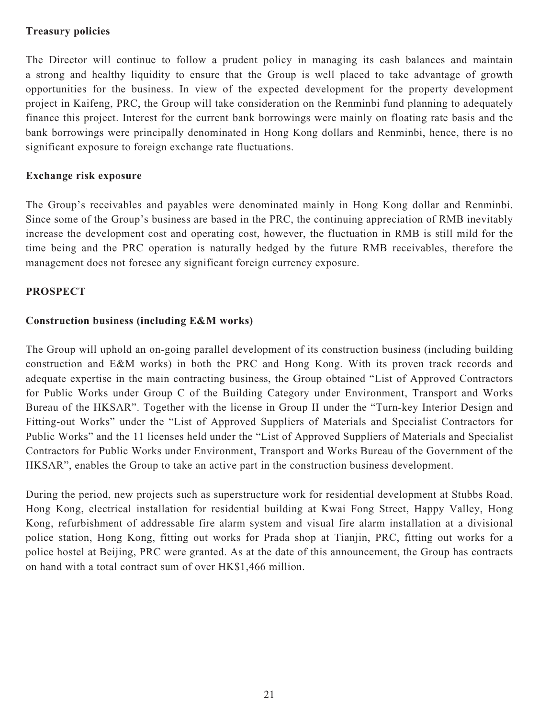# **Treasury policies**

The Director will continue to follow a prudent policy in managing its cash balances and maintain a strong and healthy liquidity to ensure that the Group is well placed to take advantage of growth opportunities for the business. In view of the expected development for the property development project in Kaifeng, PRC, the Group will take consideration on the Renminbi fund planning to adequately finance this project. Interest for the current bank borrowings were mainly on floating rate basis and the bank borrowings were principally denominated in Hong Kong dollars and Renminbi, hence, there is no significant exposure to foreign exchange rate fluctuations.

## **Exchange risk exposure**

The Group's receivables and payables were denominated mainly in Hong Kong dollar and Renminbi. Since some of the Group's business are based in the PRC, the continuing appreciation of RMB inevitably increase the development cost and operating cost, however, the fluctuation in RMB is still mild for the time being and the PRC operation is naturally hedged by the future RMB receivables, therefore the management does not foresee any significant foreign currency exposure.

# **PROSPECT**

# **Construction business (including E&M works)**

The Group will uphold an on-going parallel development of its construction business (including building construction and E&M works) in both the PRC and Hong Kong. With its proven track records and adequate expertise in the main contracting business, the Group obtained "List of Approved Contractors for Public Works under Group C of the Building Category under Environment, Transport and Works Bureau of the HKSAR". Together with the license in Group II under the "Turn-key Interior Design and Fitting-out Works" under the "List of Approved Suppliers of Materials and Specialist Contractors for Public Works" and the 11 licenses held under the "List of Approved Suppliers of Materials and Specialist Contractors for Public Works under Environment, Transport and Works Bureau of the Government of the HKSAR", enables the Group to take an active part in the construction business development.

During the period, new projects such as superstructure work for residential development at Stubbs Road, Hong Kong, electrical installation for residential building at Kwai Fong Street, Happy Valley, Hong Kong, refurbishment of addressable fire alarm system and visual fire alarm installation at a divisional police station, Hong Kong, fitting out works for Prada shop at Tianjin, PRC, fitting out works for a police hostel at Beijing, PRC were granted. As at the date of this announcement, the Group has contracts on hand with a total contract sum of over HK\$1,466 million.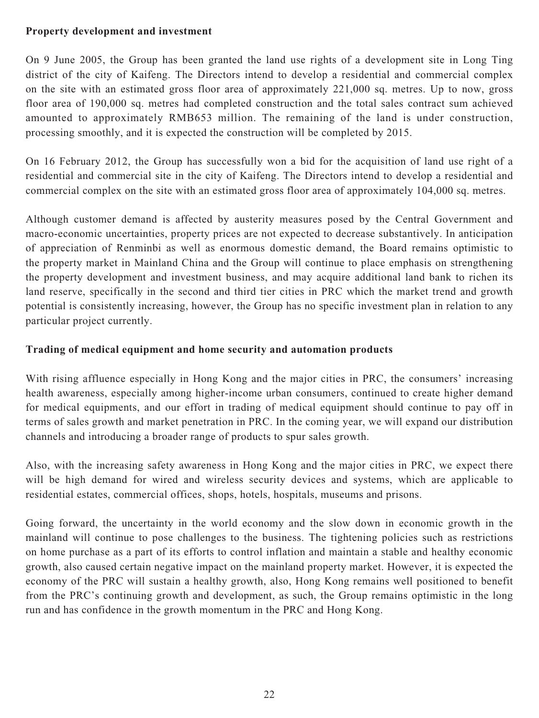# **Property development and investment**

On 9 June 2005, the Group has been granted the land use rights of a development site in Long Ting district of the city of Kaifeng. The Directors intend to develop a residential and commercial complex on the site with an estimated gross floor area of approximately 221,000 sq. metres. Up to now, gross floor area of 190,000 sq. metres had completed construction and the total sales contract sum achieved amounted to approximately RMB653 million. The remaining of the land is under construction, processing smoothly, and it is expected the construction will be completed by 2015.

On 16 February 2012, the Group has successfully won a bid for the acquisition of land use right of a residential and commercial site in the city of Kaifeng. The Directors intend to develop a residential and commercial complex on the site with an estimated gross floor area of approximately 104,000 sq. metres.

Although customer demand is affected by austerity measures posed by the Central Government and macro-economic uncertainties, property prices are not expected to decrease substantively. In anticipation of appreciation of Renminbi as well as enormous domestic demand, the Board remains optimistic to the property market in Mainland China and the Group will continue to place emphasis on strengthening the property development and investment business, and may acquire additional land bank to richen its land reserve, specifically in the second and third tier cities in PRC which the market trend and growth potential is consistently increasing, however, the Group has no specific investment plan in relation to any particular project currently.

# **Trading of medical equipment and home security and automation products**

With rising affluence especially in Hong Kong and the major cities in PRC, the consumers' increasing health awareness, especially among higher-income urban consumers, continued to create higher demand for medical equipments, and our effort in trading of medical equipment should continue to pay off in terms of sales growth and market penetration in PRC. In the coming year, we will expand our distribution channels and introducing a broader range of products to spur sales growth.

Also, with the increasing safety awareness in Hong Kong and the major cities in PRC, we expect there will be high demand for wired and wireless security devices and systems, which are applicable to residential estates, commercial offices, shops, hotels, hospitals, museums and prisons.

Going forward, the uncertainty in the world economy and the slow down in economic growth in the mainland will continue to pose challenges to the business. The tightening policies such as restrictions on home purchase as a part of its efforts to control inflation and maintain a stable and healthy economic growth, also caused certain negative impact on the mainland property market. However, it is expected the economy of the PRC will sustain a healthy growth, also, Hong Kong remains well positioned to benefit from the PRC's continuing growth and development, as such, the Group remains optimistic in the long run and has confidence in the growth momentum in the PRC and Hong Kong.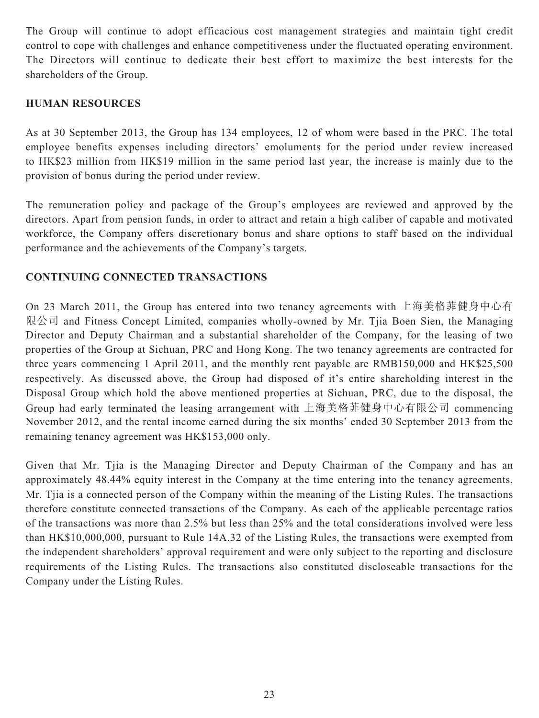The Group will continue to adopt efficacious cost management strategies and maintain tight credit control to cope with challenges and enhance competitiveness under the fluctuated operating environment. The Directors will continue to dedicate their best effort to maximize the best interests for the shareholders of the Group.

# **HUMAN RESOURCES**

As at 30 September 2013, the Group has 134 employees, 12 of whom were based in the PRC. The total employee benefits expenses including directors' emoluments for the period under review increased to HK\$23 million from HK\$19 million in the same period last year, the increase is mainly due to the provision of bonus during the period under review.

The remuneration policy and package of the Group's employees are reviewed and approved by the directors. Apart from pension funds, in order to attract and retain a high caliber of capable and motivated workforce, the Company offers discretionary bonus and share options to staff based on the individual performance and the achievements of the Company's targets.

# **CONTINUING CONNECTED TRANSACTIONS**

On 23 March 2011, the Group has entered into two tenancy agreements with 上海美格菲健身中心有 限公司 and Fitness Concept Limited, companies wholly-owned by Mr. Tjia Boen Sien, the Managing Director and Deputy Chairman and a substantial shareholder of the Company, for the leasing of two properties of the Group at Sichuan, PRC and Hong Kong. The two tenancy agreements are contracted for three years commencing 1 April 2011, and the monthly rent payable are RMB150,000 and HK\$25,500 respectively. As discussed above, the Group had disposed of it's entire shareholding interest in the Disposal Group which hold the above mentioned properties at Sichuan, PRC, due to the disposal, the Group had early terminated the leasing arrangement with 上海美格菲健身中心有限公司 commencing November 2012, and the rental income earned during the six months' ended 30 September 2013 from the remaining tenancy agreement was HK\$153,000 only.

Given that Mr. Tjia is the Managing Director and Deputy Chairman of the Company and has an approximately 48.44% equity interest in the Company at the time entering into the tenancy agreements, Mr. Tjia is a connected person of the Company within the meaning of the Listing Rules. The transactions therefore constitute connected transactions of the Company. As each of the applicable percentage ratios of the transactions was more than 2.5% but less than 25% and the total considerations involved were less than HK\$10,000,000, pursuant to Rule 14A.32 of the Listing Rules, the transactions were exempted from the independent shareholders' approval requirement and were only subject to the reporting and disclosure requirements of the Listing Rules. The transactions also constituted discloseable transactions for the Company under the Listing Rules.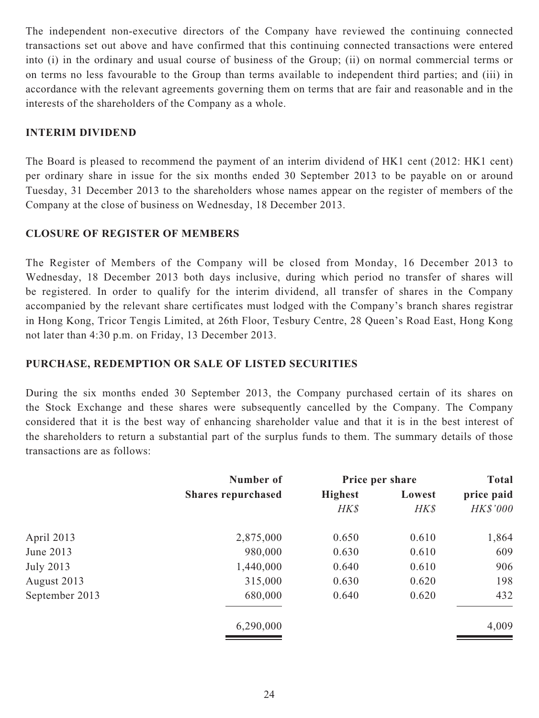The independent non-executive directors of the Company have reviewed the continuing connected transactions set out above and have confirmed that this continuing connected transactions were entered into (i) in the ordinary and usual course of business of the Group; (ii) on normal commercial terms or on terms no less favourable to the Group than terms available to independent third parties; and (iii) in accordance with the relevant agreements governing them on terms that are fair and reasonable and in the interests of the shareholders of the Company as a whole.

# **INTERIM DIVIDEND**

The Board is pleased to recommend the payment of an interim dividend of HK1 cent (2012: HK1 cent) per ordinary share in issue for the six months ended 30 September 2013 to be payable on or around Tuesday, 31 December 2013 to the shareholders whose names appear on the register of members of the Company at the close of business on Wednesday, 18 December 2013.

# **CLOSURE OF REGISTER OF MEMBERS**

The Register of Members of the Company will be closed from Monday, 16 December 2013 to Wednesday, 18 December 2013 both days inclusive, during which period no transfer of shares will be registered. In order to qualify for the interim dividend, all transfer of shares in the Company accompanied by the relevant share certificates must lodged with the Company's branch shares registrar in Hong Kong, Tricor Tengis Limited, at 26th Floor, Tesbury Centre, 28 Queen's Road East, Hong Kong not later than 4:30 p.m. on Friday, 13 December 2013.

# **PURCHASE, REDEMPTION OR SALE OF LISTED SECURITIES**

During the six months ended 30 September 2013, the Company purchased certain of its shares on the Stock Exchange and these shares were subsequently cancelled by the Company. The Company considered that it is the best way of enhancing shareholder value and that it is in the best interest of the shareholders to return a substantial part of the surplus funds to them. The summary details of those transactions are as follows:

|                | Number of<br><b>Shares repurchased</b> | Price per share         |                | <b>Total</b>           |
|----------------|----------------------------------------|-------------------------|----------------|------------------------|
|                |                                        | <b>Highest</b><br>H K S | Lowest<br>HK\$ | price paid<br>HK\$'000 |
|                |                                        |                         |                |                        |
| April 2013     | 2,875,000                              | 0.650                   | 0.610          | 1,864                  |
| June 2013      | 980,000                                | 0.630                   | 0.610          | 609                    |
| July 2013      | 1,440,000                              | 0.640                   | 0.610          | 906                    |
| August 2013    | 315,000                                | 0.630                   | 0.620          | 198                    |
| September 2013 | 680,000                                | 0.640                   | 0.620          | 432                    |
|                | 6,290,000                              |                         |                | 4,009                  |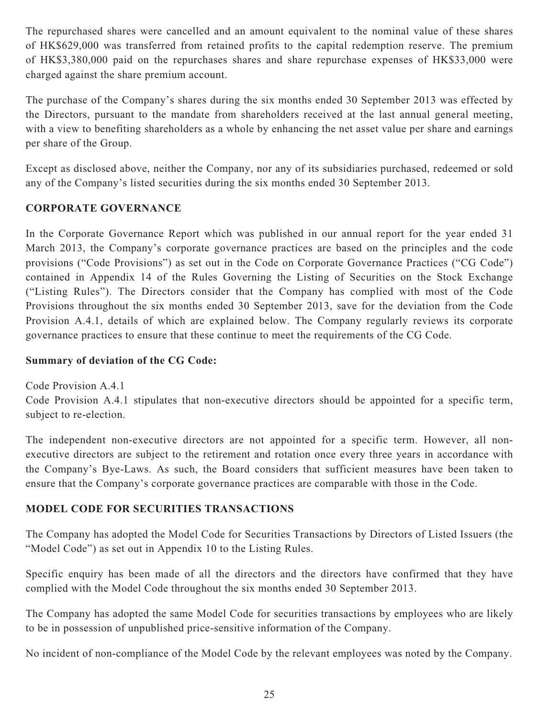The repurchased shares were cancelled and an amount equivalent to the nominal value of these shares of HK\$629,000 was transferred from retained profits to the capital redemption reserve. The premium of HK\$3,380,000 paid on the repurchases shares and share repurchase expenses of HK\$33,000 were charged against the share premium account.

The purchase of the Company's shares during the six months ended 30 September 2013 was effected by the Directors, pursuant to the mandate from shareholders received at the last annual general meeting, with a view to benefiting shareholders as a whole by enhancing the net asset value per share and earnings per share of the Group.

Except as disclosed above, neither the Company, nor any of its subsidiaries purchased, redeemed or sold any of the Company's listed securities during the six months ended 30 September 2013.

# **CORPORATE GOVERNANCE**

In the Corporate Governance Report which was published in our annual report for the year ended 31 March 2013, the Company's corporate governance practices are based on the principles and the code provisions ("Code Provisions") as set out in the Code on Corporate Governance Practices ("CG Code") contained in Appendix 14 of the Rules Governing the Listing of Securities on the Stock Exchange ("Listing Rules"). The Directors consider that the Company has complied with most of the Code Provisions throughout the six months ended 30 September 2013, save for the deviation from the Code Provision A.4.1, details of which are explained below. The Company regularly reviews its corporate governance practices to ensure that these continue to meet the requirements of the CG Code.

## **Summary of deviation of the CG Code:**

Code Provision A.4.1 Code Provision A.4.1 stipulates that non-executive directors should be appointed for a specific term, subject to re-election.

The independent non-executive directors are not appointed for a specific term. However, all nonexecutive directors are subject to the retirement and rotation once every three years in accordance with the Company's Bye-Laws. As such, the Board considers that sufficient measures have been taken to ensure that the Company's corporate governance practices are comparable with those in the Code.

# **MODEL CODE FOR SECURITIES TRANSACTIONS**

The Company has adopted the Model Code for Securities Transactions by Directors of Listed Issuers (the "Model Code") as set out in Appendix 10 to the Listing Rules.

Specific enquiry has been made of all the directors and the directors have confirmed that they have complied with the Model Code throughout the six months ended 30 September 2013.

The Company has adopted the same Model Code for securities transactions by employees who are likely to be in possession of unpublished price-sensitive information of the Company.

No incident of non-compliance of the Model Code by the relevant employees was noted by the Company.